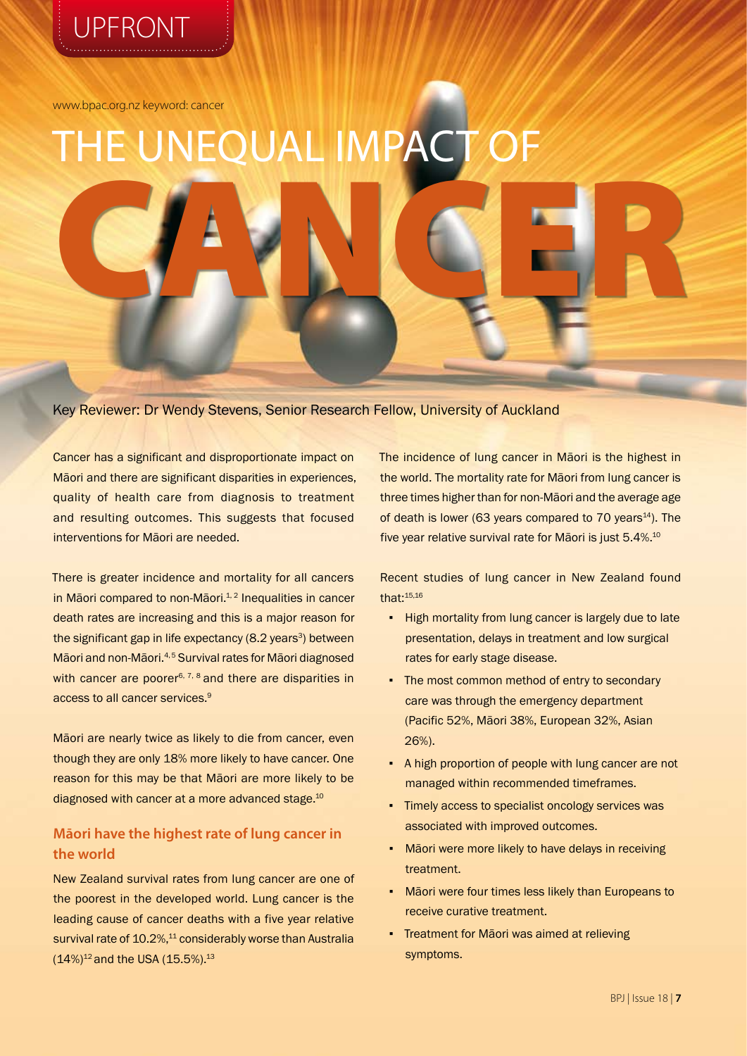www.bpac.org.nz keyword: cancer

THE UNEQUAL IMPAC CANCER

Key Reviewer: Dr Wendy Stevens, Senior Research Fellow, University of Auckland

Cancer has a significant and disproportionate impact on Māori and there are significant disparities in experiences, quality of health care from diagnosis to treatment and resulting outcomes. This suggests that focused interventions for Māori are needed.

There is greater incidence and mortality for all cancers in Māori compared to non-Māori. $4, 2$  Inequalities in cancer death rates are increasing and this is a major reason for the significant gap in life expectancy  $(8.2 \text{ years}^3)$  between Māori and non-Māori.<sup>4,5</sup> Survival rates for Māori diagnosed with cancer are poorer $6, 7, 8$  and there are disparities in access to all cancer services.<sup>9</sup>

Māori are nearly twice as likely to die from cancer, even though they are only 18% more likely to have cancer. One reason for this may be that Māori are more likely to be diagnosed with cancer at a more advanced stage.<sup>10</sup>

# **Māori have the highest rate of lung cancer in the world**

New Zealand survival rates from lung cancer are one of the poorest in the developed world. Lung cancer is the leading cause of cancer deaths with a five year relative survival rate of 10.2%,<sup>11</sup> considerably worse than Australia  $(14\%)^{12}$  and the USA (15.5%).<sup>13</sup>

The incidence of lung cancer in Māori is the highest in the world. The mortality rate for Māori from lung cancer is three times higher than for non-Māori and the average age of death is lower (63 years compared to 70 years $14$ ). The five year relative survival rate for Māori is just 5.4%.<sup>10</sup>

Recent studies of lung cancer in New Zealand found that:15,16

- High mortality from lung cancer is largely due to late presentation, delays in treatment and low surgical rates for early stage disease.
- The most common method of entry to secondary care was through the emergency department (Pacific 52%, Māori 38%, European 32%, Asian 26%).
- A high proportion of people with lung cancer are not managed within recommended timeframes.
- Timely access to specialist oncology services was associated with improved outcomes.
- Māori were more likely to have delays in receiving treatment.
- Māori were four times less likely than Europeans to receive curative treatment.
- **Treatment for Māori was aimed at relieving** symptoms.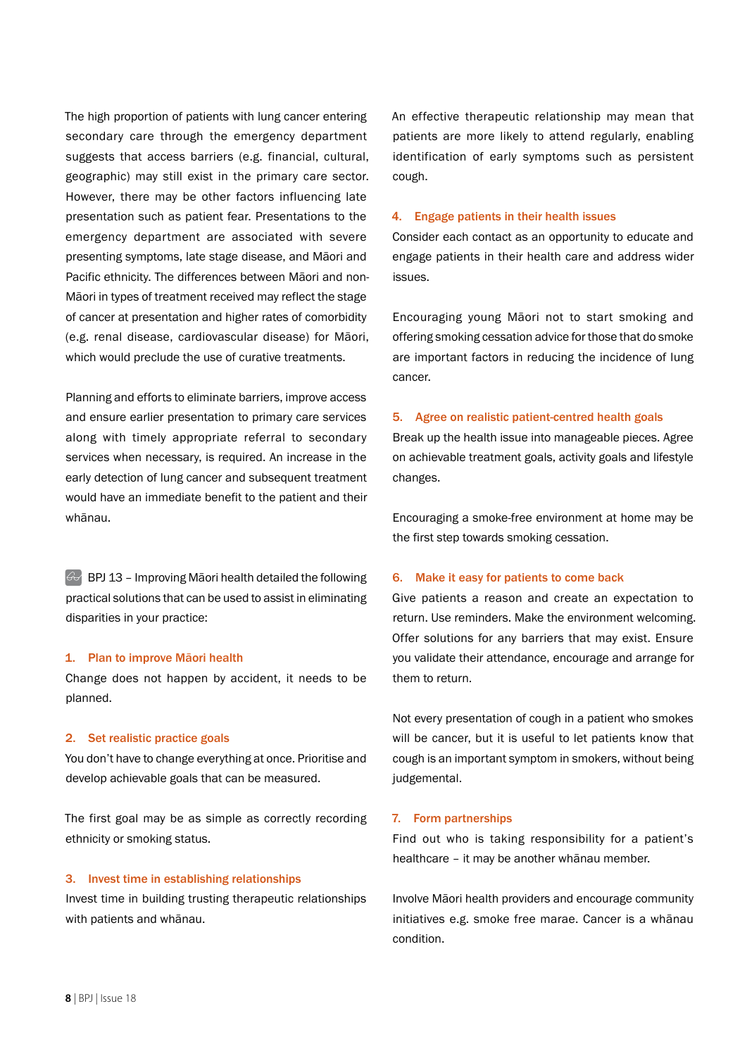The high proportion of patients with lung cancer entering secondary care through the emergency department suggests that access barriers (e.g. financial, cultural, geographic) may still exist in the primary care sector. However, there may be other factors influencing late presentation such as patient fear. Presentations to the emergency department are associated with severe presenting symptoms, late stage disease, and Māori and Pacific ethnicity. The differences between Māori and non-Māori in types of treatment received may reflect the stage of cancer at presentation and higher rates of comorbidity (e.g. renal disease, cardiovascular disease) for Māori, which would preclude the use of curative treatments.

Planning and efforts to eliminate barriers, improve access and ensure earlier presentation to primary care services along with timely appropriate referral to secondary services when necessary, is required. An increase in the early detection of lung cancer and subsequent treatment would have an immediate benefit to the patient and their whānau.

 $G$ BPJ 13 – Improving Māori health detailed the following practical solutions that can be used to assist in eliminating disparities in your practice:

# 1. Plan to improve Māori health

Change does not happen by accident, it needs to be planned.

# 2. Set realistic practice goals

You don't have to change everything at once. Prioritise and develop achievable goals that can be measured.

The first goal may be as simple as correctly recording ethnicity or smoking status.

# 3. Invest time in establishing relationships

Invest time in building trusting therapeutic relationships with patients and whānau.

An effective therapeutic relationship may mean that patients are more likely to attend regularly, enabling identification of early symptoms such as persistent cough.

#### 4. Engage patients in their health issues

Consider each contact as an opportunity to educate and engage patients in their health care and address wider issues.

Encouraging young Māori not to start smoking and offering smoking cessation advice for those that do smoke are important factors in reducing the incidence of lung cancer.

# 5. Agree on realistic patient-centred health goals

Break up the health issue into manageable pieces. Agree on achievable treatment goals, activity goals and lifestyle changes.

Encouraging a smoke-free environment at home may be the first step towards smoking cessation.

#### 6. Make it easy for patients to come back

Give patients a reason and create an expectation to return. Use reminders. Make the environment welcoming. Offer solutions for any barriers that may exist. Ensure you validate their attendance, encourage and arrange for them to return.

Not every presentation of cough in a patient who smokes will be cancer, but it is useful to let patients know that cough is an important symptom in smokers, without being judgemental.

#### 7. Form partnerships

Find out who is taking responsibility for a patient's healthcare – it may be another whānau member.

Involve Māori health providers and encourage community initiatives e.g. smoke free marae. Cancer is a whānau condition.